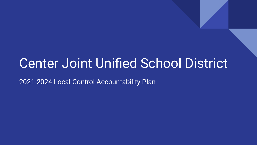# Center Joint Unified School District

2021-2024 Local Control Accountability Plan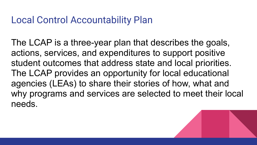### Local Control Accountability Plan

The LCAP is a three-year plan that describes the goals, actions, services, and expenditures to support positive student outcomes that address state and local priorities. The LCAP provides an opportunity for local educational agencies (LEAs) to share their stories of how, what and why programs and services are selected to meet their local needs.

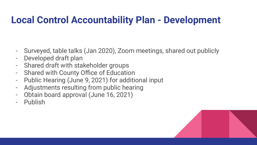# **Local Control Accountability Plan - Development**

- Surveyed, table talks (Jan 2020), Zoom meetings, shared out publicly
- Developed draft plan
- Shared draft with stakeholder groups
- Shared with County Office of Education
- Public Hearing (June 9, 2021) for additional input
- Adjustments resulting from public hearing
- Obtain board approval (June 16, 2021)
- **Publish**

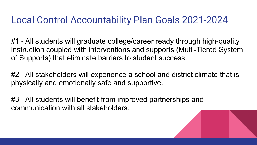### Local Control Accountability Plan Goals 2021-2024

#1 - All students will graduate college/career ready through high-quality instruction coupled with interventions and supports (Multi-Tiered System of Supports) that eliminate barriers to student success.

#2 - All stakeholders will experience a school and district climate that is physically and emotionally safe and supportive.

#3 - All students will benefit from improved partnerships and communication with all stakeholders.

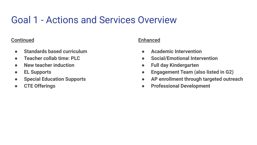# Goal 1 - Actions and Services Overview

#### **Continued**

- **● Standards based curriculum**
- **● Teacher collab time: PLC**
- **● New teacher induction**
- **● EL Supports**
- **● Special Education Supports**
- **● CTE Offerings**

### **Enhanced**

- **● Academic Intervention**
- **● Social/Emotional Intervention**
- **● Full day Kindergarten**
- **● Engagement Team (also listed in G2)**
- **● AP enrollment through targeted outreach**
- **● Professional Development**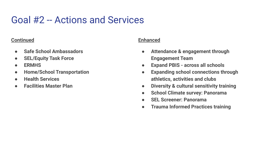## Goal #2 -- Actions and Services

#### **Continued**

- **● Safe School Ambassadors**
- **● SEL/Equity Task Force**
- **● ERMHS**
- **● Home/School Transportation**
- **● Health Services**
- **● Facilities Master Plan**

### **Enhanced**

- **● Attendance & engagement through Engagement Team**
- **● Expand PBIS across all schools**
- **● Expanding school connections through athletics, activities and clubs**
- **● Diversity & cultural sensitivity training**
- **● School Climate survey: Panorama**
- **● SEL Screener: Panorama**
- **● Trauma Informed Practices training**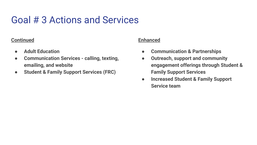# Goal # 3 Actions and Services

#### **Continued**

- **● Adult Education**
- **● Communication Services calling, texting, emailing, and website**
- **● Student & Family Support Services (FRC)**

#### **Enhanced**

- **● Communication & Partnerships**
- **● Outreach, support and community engagement offerings through Student & Family Support Services**
- **● Increased Student & Family Support Service team**